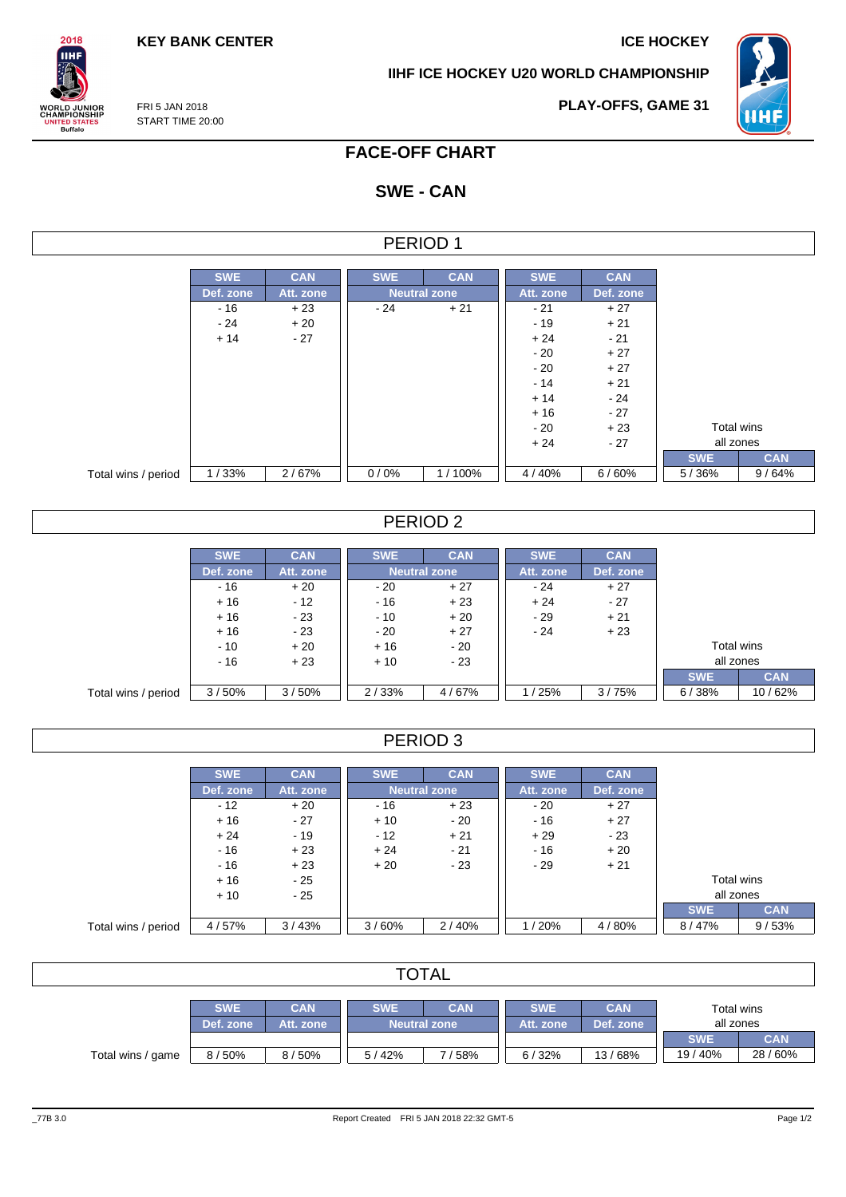**KEY BANK CENTER ICE HOCKEY** 

**PLAY-OFFS, GAME 31**

**IIHF ICE HOCKEY U20 WORLD CHAMPIONSHIP**



FRI 5 JAN 2018 START TIME 20:00

 $2018$ **IIHF** 

**WORLD JUNIOR<br>CHAMPIONSHIP<br>UNITED STATES<br>Buffalo** 

## **FACE-OFF CHART**

# **SWE - CAN**

|                     |            |            |                     | PERIOD 1            |            |            |            |            |
|---------------------|------------|------------|---------------------|---------------------|------------|------------|------------|------------|
|                     |            |            |                     |                     |            |            |            |            |
|                     | <b>SWE</b> | <b>CAN</b> | <b>SWE</b>          | <b>CAN</b>          | <b>SWE</b> | <b>CAN</b> |            |            |
|                     | Def. zone  | Att. zone  | <b>Neutral zone</b> |                     | Att. zone  | Def. zone  |            |            |
|                     | $-16$      | $+23$      | $-24$               | $+21$               | $-21$      | $+27$      |            |            |
|                     | - 24       | $+20$      |                     |                     | $-19$      | $+21$      |            |            |
|                     | $+14$      | $-27$      |                     |                     | $+24$      | $-21$      |            |            |
|                     |            |            |                     |                     | $-20$      | $+27$      |            |            |
|                     |            |            |                     |                     | $-20$      | $+27$      |            |            |
|                     |            |            |                     |                     | $-14$      | $+21$      |            |            |
|                     |            |            |                     |                     | $+14$      | $-24$      |            |            |
|                     |            |            |                     |                     | $+16$      | $-27$      |            |            |
|                     |            |            |                     |                     | $-20$      | $+23$      | Total wins |            |
|                     |            |            |                     |                     | $+24$      | $-27$      | all zones  |            |
|                     |            |            |                     |                     |            |            | <b>SWE</b> | <b>CAN</b> |
| Total wins / period | 1/33%      | 2/67%      | 0/0%                | 1/100%              | 4/40%      | 6/60%      | 5/36%      | 9/64%      |
|                     |            |            |                     |                     |            |            |            |            |
|                     |            |            |                     |                     |            |            |            |            |
|                     |            |            |                     | PERIOD <sub>2</sub> |            |            |            |            |

|                     | <b>SWE</b> | <b>CAN</b> | <b>SWE</b>          | <b>CAN</b> | <b>SWE</b> | <b>CAN</b> |            |            |
|---------------------|------------|------------|---------------------|------------|------------|------------|------------|------------|
|                     | Def. zone  | Att. zone  | <b>Neutral zone</b> |            | Att. zone  | Def. zone  |            |            |
|                     | $-16$      | $+20$      | $-20$               | $+27$      | $-24$      | $+27$      |            |            |
|                     | $+16$      | $-12$      | $-16$               | $+23$      | $+24$      | $-27$      |            |            |
|                     | $+16$      | $-23$      | $-10$               | $+20$      | $-29$      | $+21$      |            |            |
|                     | $+16$      | $-23$      | $-20$               | $+27$      | $-24$      | $+23$      |            |            |
|                     | $-10$      | $+20$      | $+16$               | $-20$      |            |            | Total wins |            |
|                     | $-16$      | $+23$      | $-23$<br>$+10$      |            |            |            | all zones  |            |
|                     |            |            |                     |            |            |            | <b>SWE</b> | <b>CAN</b> |
| Total wins / period | 3/50%      | 3/50%      | 2/33%               | 4/67%      | /25%       | 3/75%      | 6/38%      | 10/62%     |

# PERIOD 3

|                     | <b>SWE</b> | <b>CAN</b> | <b>SWE</b> | <b>CAN</b>          | <b>SWE</b> | <b>CAN</b> |            |            |
|---------------------|------------|------------|------------|---------------------|------------|------------|------------|------------|
|                     | Def. zone  | Att. zone  |            | <b>Neutral zone</b> | Att. zone  | Def. zone  |            |            |
|                     | $-12$      | $+20$      | - 16       | $+23$               | $-20$      | $+27$      |            |            |
|                     | $+16$      | $-27$      | $+10$      | $-20$               | $-16$      | $+27$      |            |            |
|                     | $+24$      | $-19$      | $-12$      | $+21$               | $+29$      | - 23       |            |            |
|                     | $-16$      | $+23$      | $+24$      | $-21$               | $-16$      | $+20$      |            |            |
|                     | $-16$      | $+23$      | $+20$      | $-23$               | - 29       | $+21$      |            |            |
|                     | $+16$      | $-25$      |            |                     |            |            | Total wins |            |
|                     | $+10$      | $-25$      |            |                     |            |            | all zones  |            |
|                     |            |            |            |                     |            |            | <b>SWE</b> | <b>CAN</b> |
| Total wins / period | 4/57%      | 3/43%      | 3/60%      | 2/40%               | 1/20%      | 4/80%      | 8/47%      | 9/53%      |

| <b>TOTAL</b>      |                         |                         |            |                                   |                         |                         |                         |            |  |  |  |
|-------------------|-------------------------|-------------------------|------------|-----------------------------------|-------------------------|-------------------------|-------------------------|------------|--|--|--|
|                   | <b>SWE</b><br>Def. zone | <b>CAN</b><br>Att. zone | <b>SWE</b> | <b>CAN</b><br><b>Neutral zone</b> | <b>SWE</b><br>Att. zone | <b>CAN</b><br>Def. zone | Total wins<br>all zones |            |  |  |  |
|                   |                         |                         |            |                                   |                         |                         | <b>SWE</b>              | <b>CAN</b> |  |  |  |
| Total wins / game | 8/50%                   | 8/50%                   | 5/42%      | 158%                              | 6/32%                   | 13/68%                  | 19/40%                  | 28/60%     |  |  |  |